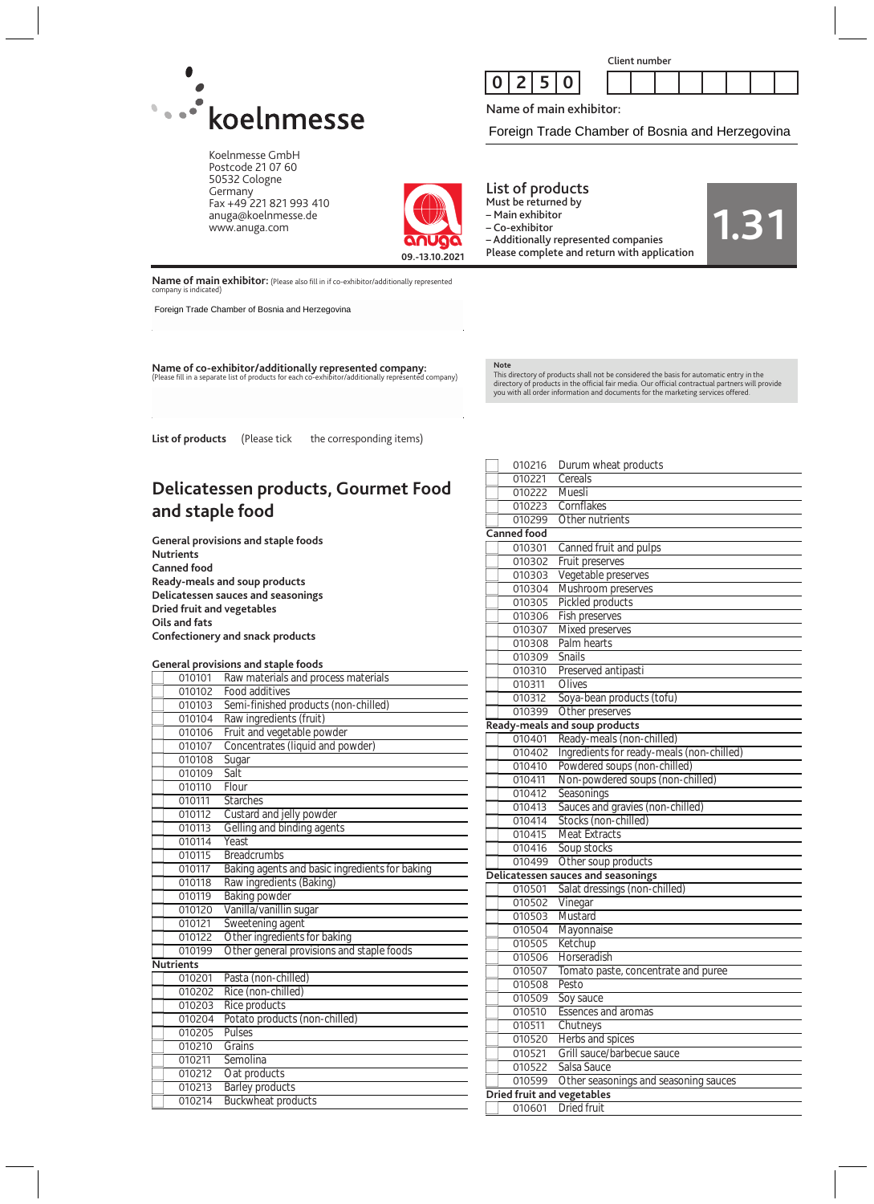

Koelnmesse GmbH Postcode 21 07 60 50532 Cologne Germany Fax +49 221 821 993 410 anuga@koelnmesse.de www.anuga.com



Name of main exhibitor:

Foreign Trade Chamber of Bosnia and Herzegovina

**1.31**



List of products

Must be returned by – Main exhibitor

– Co-exhibitor

– Additionally represented companies Please complete and return with application

**Name of main exhibitor:** (Please also fill in if co-exhibitor/additionally represented company is indicated)

Foreign Trade Chamber of Bosnia and Herzegovina

**Name of co-exhibitor/additionally represented company:** (Please fill in a separate list of products for each co-exhibitor/additionally represented company)

**Note** This directory of products shall not be considered the basis for automatic entry in the<br>directory of products in the official fair media. Our official contractual partners will provide<br>you with all order information and do

List of products (Please tick the corresponding items)

# **Delicatessen products, Gourmet Food and staple food**

**General provisions and staple foods Nutrients Canned food Ready-meals and soup products Delicatessen sauces and seasonings Dried fruit and vegetables Oils and fats Confectionery and snack products**

#### **General provisions and staple foods**

|                  | provisions and stapic rood                     |
|------------------|------------------------------------------------|
| 010101           | Raw materials and process materials            |
| 010102           | Food additives                                 |
| 010103           | Semi-finished products (non-chilled)           |
| 010104           | Raw ingredients (fruit)                        |
| 010106           | Fruit and vegetable powder                     |
| 010107           | Concentrates (liquid and powder)               |
| 010108           | Sugar                                          |
| 010109           | Salt                                           |
| 010110           | Flour                                          |
| 010111           | <b>Starches</b>                                |
| 010112           | Custard and jelly powder                       |
| 010113           | Gelling and binding agents                     |
| 010114           | Yeast                                          |
| 010115           | <b>Breadcrumbs</b>                             |
| 010117           | Baking agents and basic ingredients for baking |
| 010118           | Raw ingredients (Baking)                       |
| 010119           | <b>Baking powder</b>                           |
| 010120           | Vanilla/vanillin sugar                         |
| 010121           | Sweetening agent                               |
| 010122           | Other ingredients for baking                   |
| 010199           | Other general provisions and staple foods      |
| <b>Nutrients</b> |                                                |
| 010201           | Pasta (non-chilled)                            |
| 010202           | Rice (non-chilled)                             |
| 010203           | Rice products                                  |
| 010204           | Potato products (non-chilled)                  |
| 010205           | Pulses                                         |
| 010210           | Grains                                         |
| 010211           | Semolina                                       |
| 010212           | Oat products                                   |
| 010213           | <b>Barley products</b>                         |
| 010214           | <b>Buckwheat products</b>                      |

| 010216             | Durum wheat products                      |
|--------------------|-------------------------------------------|
| 010221             | Cereals                                   |
| 010222             | Muesli                                    |
| 010223             | Cornflakes                                |
| 010299             | Other nutrients                           |
| <b>Canned food</b> |                                           |
| 010301             | Canned fruit and pulps                    |
| 010302             | Fruit preserves                           |
| 010303             | Vegetable preserves                       |
| 010304             | Mushroom preserves                        |
| 010305             | Pickled products                          |
| 010306             | Fish preserves                            |
| 010307             | Mixed preserves                           |
| 010308             | Palm hearts                               |
| 010309             | <b>Snails</b>                             |
| 010310             | Preserved antipasti                       |
| 010311             | Olives                                    |
| 010312             | Soya-bean products (tofu)                 |
| 010399             | Other preserves                           |
|                    | Ready-meals and soup products             |
| 010401             | Ready-meals (non-chilled)                 |
| 010402             | Ingredients for ready-meals (non-chilled) |
| 010410             | Powdered soups (non-chilled)              |
| 010411             | Non-powdered soups (non-chilled)          |
| 010412             | Seasonings                                |
| 010413             | Sauces and gravies (non-chilled)          |
| 010414             | Stocks (non-chilled)                      |
| 010415             | <b>Meat Extracts</b>                      |
| 010416             | Soup stocks                               |
| 010499             | Other soup products                       |
|                    | Delicatessen sauces and seasonings        |
| 010501             | Salat dressings (non-chilled)             |
| 010502             | Vinegar                                   |
| 010503             | Mustard                                   |
| 010504             | Mayonnaise                                |
| 010505             | Ketchup                                   |
| 010506             | Horseradish                               |
| 010507             | Tomato paste, concentrate and puree       |
| 010508             | Pesto                                     |
| 010509             | Soy sauce                                 |
| 010510             | Essences and aromas                       |
| 010511             | Chutneys                                  |
| 010520             | Herbs and spices                          |
| 010521             | Grill sauce/barbecue sauce                |
| 010522             | Salsa Sauce                               |
| 010599             | Other seasonings and seasoning sauces     |
|                    | <b>Dried fruit and vegetables</b>         |
| 010601             | Dried fruit                               |
|                    |                                           |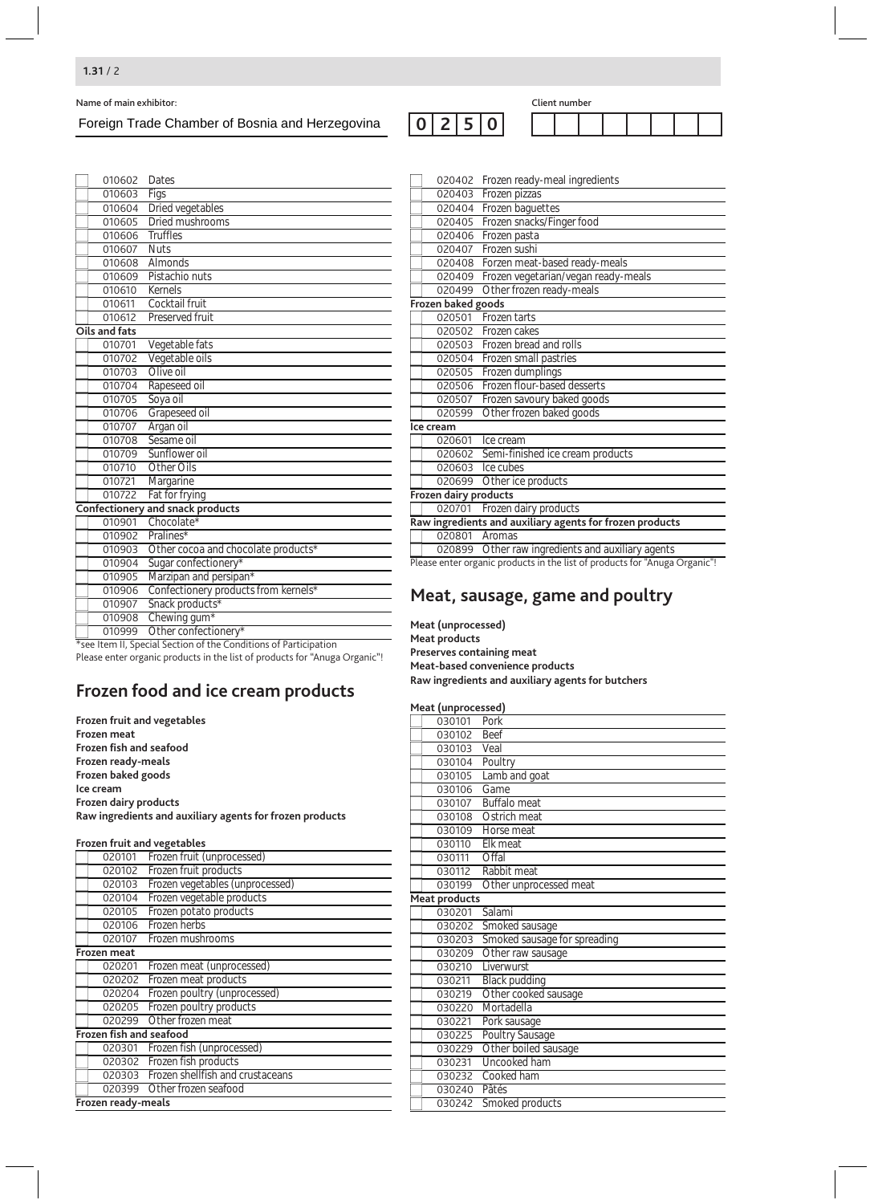Name of main exhibitor:<br>
Foreign Trade Chamber of Bosnia and Herzegovina  $\boxed{0|2|5|0}$  Client number Foreign Trade Chamber of Bosnia and Herzegovina

| lient number |  |  |  |
|--------------|--|--|--|
|              |  |  |  |

| 010602        | Dates                                                            |
|---------------|------------------------------------------------------------------|
| 010603        | Figs                                                             |
| 010604        | Dried vegetables                                                 |
| 010605        | Dried mushrooms                                                  |
| 010606        | <b>Truffles</b>                                                  |
| 010607        | <b>Nuts</b>                                                      |
| 010608        | Almonds                                                          |
| 010609        | Pistachio nuts                                                   |
| 010610        | Kernels                                                          |
| 010611        | Cocktail fruit                                                   |
| 010612        | Preserved fruit                                                  |
| Oils and fats |                                                                  |
| 010701        | Vegetable fats                                                   |
| 010702        | Vegetable oils                                                   |
| 010703        | Olive oil                                                        |
| 010704        | Rapeseed oil                                                     |
| 010705        | Soya oil                                                         |
| 010706        | Grapeseed oil                                                    |
| 010707        | Argan oil                                                        |
| 010708        | Sesame oil                                                       |
| 010709        | Sunflower oil                                                    |
| 010710        | <b>Other Oils</b>                                                |
| 010721        | Margarine                                                        |
| 010722        | Fat for frying                                                   |
| Confectionery | and snack products                                               |
| 010901        | Chocolate*                                                       |
| 010902        | Pralines*                                                        |
| 010903        | Other cocoa and chocolate products*                              |
| 010904        | Sugar confectionery*                                             |
| 010905        | Marzipan and persipan*                                           |
| 010906        | Confectionery products from kernels*                             |
| 010907        | Snack products*                                                  |
| 010908        | Chewing gum*                                                     |
| 010999        | Other confectionery*                                             |
|               | *see Item II, Special Section of the Conditions of Participation |

Please enter organic products in the list of products for "Anuga Organic"!

# **Frozen food and ice cream products**

**Frozen fruit and vegetables Frozen meat Frozen fish and seafood Frozen ready-meals Frozen baked goods Ice cream Frozen dairy products Raw ingredients and auxiliary agents for frozen products**

#### **Frozen fruit and vegetables**

| 020101                  | Frozen fruit (unprocessed)              |  |  |
|-------------------------|-----------------------------------------|--|--|
| 020102                  | Frozen fruit products                   |  |  |
| 020103                  | Frozen vegetables (unprocessed)         |  |  |
| 020104                  | Frozen vegetable products               |  |  |
| 020105                  | Frozen potato products                  |  |  |
| 020106                  | Frozen herbs                            |  |  |
| 020107                  | Frozen mushrooms                        |  |  |
| Frozen meat             |                                         |  |  |
| 020201                  | Frozen meat (unprocessed)               |  |  |
| 020202                  | Frozen meat products                    |  |  |
| 020204                  | Frozen poultry (unprocessed)            |  |  |
| 020205                  | Frozen poultry products                 |  |  |
| 020299                  | Other frozen meat                       |  |  |
| Frozen fish and seafood |                                         |  |  |
|                         | 020301 Frozen fish (unprocessed)        |  |  |
|                         | 020302 Frozen fish products             |  |  |
|                         | 020303 Frozen shellfish and crustaceans |  |  |
|                         | 020399 Other frozen seafood             |  |  |
| Frozen ready-meals      |                                         |  |  |

| 020402                | Frozen ready-meal ingredients                                              |
|-----------------------|----------------------------------------------------------------------------|
| 020403                | Frozen pizzas                                                              |
| 020404                | Frozen baguettes                                                           |
| 020405                | Frozen snacks/Finger food                                                  |
| 020406                | Frozen pasta                                                               |
| 020407                | Frozen sushi                                                               |
| 020408                | Forzen meat-based ready-meals                                              |
| 020409                | Frozen vegetarian/vegan ready-meals                                        |
| 020499                | Other frozen ready-meals                                                   |
| Frozen baked goods    |                                                                            |
| 020501                | Frozen tarts                                                               |
| 020502                | Frozen cakes                                                               |
| 020503                | Frozen bread and rolls                                                     |
| 020504                | Frozen small pastries                                                      |
| 020505                | Frozen dumplings                                                           |
| 020506                | Frozen flour-based desserts                                                |
| 020507                | Frozen savoury baked goods                                                 |
| 020599                | Other frozen baked goods                                                   |
| Ice cream             |                                                                            |
|                       | 020601 Ice cream                                                           |
|                       | 020602 Semi-finished ice cream products                                    |
| 020603                | Ice cubes                                                                  |
| 020699                | Other ice products                                                         |
| Frozen dairy products |                                                                            |
|                       | 020701 Frozen dairy products                                               |
|                       | Raw ingredients and auxiliary agents for frozen products                   |
| 020801                | Aromas                                                                     |
| 020899                | Other raw ingredients and auxiliary agents                                 |
|                       | Please enter organic products in the list of products for "Anuga Organic"! |

### **Meat, sausage, game and poultry**

**Meat (unprocessed) Meat products Preserves containing meat Meat-based convenience products Raw ingredients and auxiliary agents for butchers**

#### **Meat (unprocessed)**

| r reac (amprocessea) |                              |
|----------------------|------------------------------|
| 030101               | Pork                         |
| 030102               | Beef                         |
| 030103               | Veal                         |
| 030104               | Poultry                      |
| 030105               | Lamb and goat                |
| 030106               | Game                         |
| 030107               | <b>Buffalo</b> meat          |
| 030108               | Ostrich meat                 |
| 030109               | Horse meat                   |
| 030110               | Elk meat                     |
| 030111               | Offal                        |
| 030112               | Rabbit meat                  |
| 030199               | Other unprocessed meat       |
| <b>Meat products</b> |                              |
| 030201               | Salami                       |
| 030202               | Smoked sausage               |
| 030203               | Smoked sausage for spreading |
| 030209               | Other raw sausage            |
| 030210               | Liverwurst                   |
| 030211               | Black pudding                |
| 030219               | Other cooked sausage         |
| 030220               | Mortadella                   |
| 030221               | Pork sausage                 |
| 030225               | Poultry Sausage              |
| 030229               | Other boiled sausage         |
| 030231               | Uncooked ham                 |
| 030232               | Cooked ham                   |
| 030240               | Pâtés                        |
| 030242               | Smoked products              |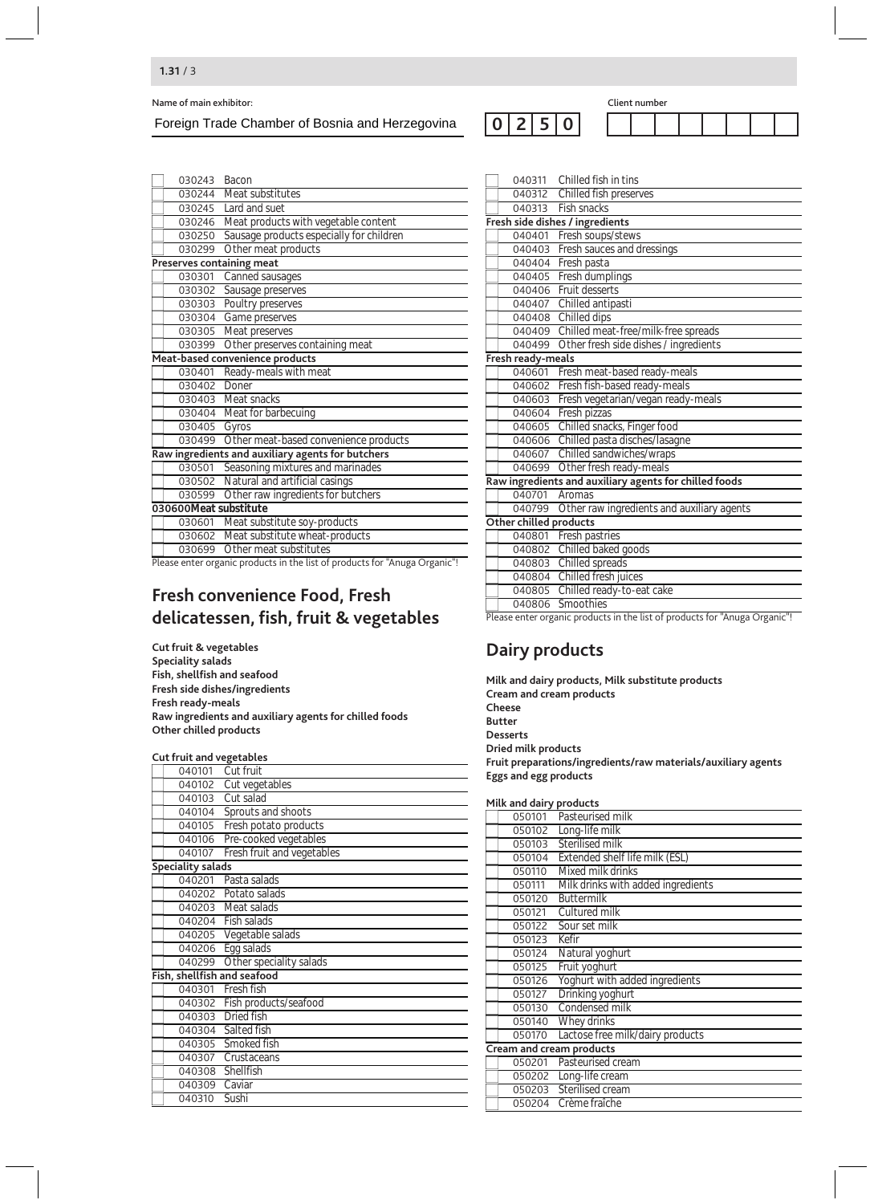Foreign Trade Chamber of Bosnia and Herzegovina

| 030243                | Bacon                                             |
|-----------------------|---------------------------------------------------|
| 030244                | Meat substitutes                                  |
| 030245                | Lard and suet                                     |
| 030246                | Meat products with vegetable content              |
| 030250                | Sausage products especially for children          |
| 030299                | Other meat products                               |
|                       | <b>Preserves containing meat</b>                  |
| 030301                | Canned sausages                                   |
| 030302                | Sausage preserves                                 |
| 030303                | Poultry preserves                                 |
| 030304                | Game preserves                                    |
| 030305                | Meat preserves                                    |
| 030399                | Other preserves containing meat                   |
|                       | Meat-based convenience products                   |
| 030401                | Ready-meals with meat                             |
| 030402                | Doner                                             |
|                       | 030403 Meat snacks                                |
| 030404                | Meat for barbecuing                               |
| 030405                | Gyros                                             |
| 030499                | Other meat-based convenience products             |
|                       | Raw ingredients and auxiliary agents for butchers |
| 030501                | Seasoning mixtures and marinades                  |
| 030502                | Natural and artificial casings                    |
| 030599                | Other raw ingredients for butchers                |
| 030600Meat substitute |                                                   |
| 030601                | Meat substitute soy-products                      |
| 030602                | Meat substitute wheat-products                    |
| 030699                | Other meat substitutes                            |
|                       |                                                   |

Please enter organic products in the list of products for "Anuga Organic"!

# **Fresh convenience Food, Fresh delicatessen, fish, fruit & vegetables**

**Cut fruit & vegetables Speciality salads Fish, shellfish and seafood Fresh side dishes/ingredients Fresh ready-meals Raw ingredients and auxiliary agents for chilled foods Other chilled products**

#### **Cut fruit and vegetables**

| 040101                   | Cut fruit                    |
|--------------------------|------------------------------|
| 040102                   | Cut vegetables               |
| 040103                   | Cut salad                    |
| 040104                   | Sprouts and shoots           |
| 040105                   | Fresh potato products        |
| 040106                   | Pre-cooked vegetables        |
| 040107                   | Fresh fruit and vegetables   |
| <b>Speciality salads</b> |                              |
| 040201                   | Pasta salads                 |
|                          | 040202 Potato salads         |
|                          | 040203 Meat salads           |
|                          | 040204 Fish salads           |
|                          | 040205 Vegetable salads      |
| 040206                   | Egg salads                   |
| 040299                   | Other speciality salads      |
|                          | Fish, shellfish and seafood  |
|                          | 040301 Fresh fish            |
|                          | 040302 Fish products/seafood |
| 040303                   | Dried fish                   |
|                          | 040304 Salted fish           |
|                          | 040305 Smoked fish           |
| 040307                   | Crustaceans                  |
| 040308                   | Shellfish                    |
| 040309                   | Caviar                       |
| 040310                   | Sushi                        |

|                        | 040311 Chilled fish in tins                                                                   |
|------------------------|-----------------------------------------------------------------------------------------------|
| 040312                 | Chilled fish preserves                                                                        |
| 040313                 | <b>Fish snacks</b>                                                                            |
|                        | Fresh side dishes / ingredients                                                               |
| 040401                 | Fresh soups/stews                                                                             |
| 040403                 | Fresh sauces and dressings                                                                    |
| 040404                 | Fresh pasta                                                                                   |
| 040405                 | Fresh dumplings                                                                               |
| 040406                 | Fruit desserts                                                                                |
|                        | 040407 Chilled antipasti                                                                      |
|                        | 040408 Chilled dips                                                                           |
| 040409                 | Chilled meat-free/milk-free spreads                                                           |
| 040499                 | Other fresh side dishes / ingredients                                                         |
| Fresh ready-meals      |                                                                                               |
| 040601                 | Fresh meat-based ready-meals                                                                  |
| 040602                 | Fresh fish-based ready-meals                                                                  |
| 040603                 | Fresh vegetarian/vegan ready-meals                                                            |
| 040604                 | Fresh pizzas                                                                                  |
| 040605                 | Chilled snacks, Finger food                                                                   |
| 040606                 | Chilled pasta disches/lasagne                                                                 |
| 040607                 | Chilled sandwiches/wraps                                                                      |
| 040699                 | Other fresh ready-meals                                                                       |
|                        | Raw ingredients and auxiliary agents for chilled foods                                        |
| 040701                 | Aromas                                                                                        |
| 040799                 | Other raw ingredients and auxiliary agents                                                    |
| Other chilled products |                                                                                               |
|                        | 040801 Fresh pastries                                                                         |
| 040802                 | Chilled baked goods                                                                           |
|                        | 040803 Chilled spreads                                                                        |
| 040804                 | Chilled fresh juices                                                                          |
|                        | 040805 Chilled ready-to-eat cake                                                              |
|                        | 040806 Smoothies<br>Blazes apter erganic products in the list of products for "Anuga Organic" |

Please enter organic products in the list of products for "Anuga Organic"!

# **Dairy products**

**2 5 0**

| Milk and dairy products, Milk substitute products             |
|---------------------------------------------------------------|
| Cream and cream products                                      |
| Cheese                                                        |
| <b>Butter</b>                                                 |
| <b>Desserts</b>                                               |
| Dried milk products                                           |
| Fruit preparations/ingredients/raw materials/auxiliary agents |
| Eggs and egg products                                         |
|                                                               |
|                                                               |

| Milk and dairy products |                                    |  |  |  |
|-------------------------|------------------------------------|--|--|--|
| 050101                  | Pasteurised milk                   |  |  |  |
| 050102                  | Long-life milk                     |  |  |  |
| 050103                  | Sterilised milk                    |  |  |  |
| 050104                  | Extended shelf life milk (ESL)     |  |  |  |
| 050110                  | Mixed milk drinks                  |  |  |  |
| 050111                  | Milk drinks with added ingredients |  |  |  |
| 050120                  | <b>Buttermilk</b>                  |  |  |  |
| 050121                  | Cultured milk                      |  |  |  |
| 050122                  | Sour set milk                      |  |  |  |
| 050123                  | Kefir                              |  |  |  |
| 050124                  | Natural yoghurt                    |  |  |  |
| 050125                  | Fruit yoghurt                      |  |  |  |
| 050126                  | Yoghurt with added ingredients     |  |  |  |
| 050127                  | Drinking yoghurt                   |  |  |  |
| 050130                  | Condensed milk                     |  |  |  |
| 050140                  | Whey drinks                        |  |  |  |
| 050170                  | Lactose free milk/dairy products   |  |  |  |
|                         | Cream and cream products           |  |  |  |
| 050201                  | Pasteurised cream                  |  |  |  |
| 050202                  | Long-life cream                    |  |  |  |
| 050203                  | Sterilised cream                   |  |  |  |
| 050204                  | Crème fraîche                      |  |  |  |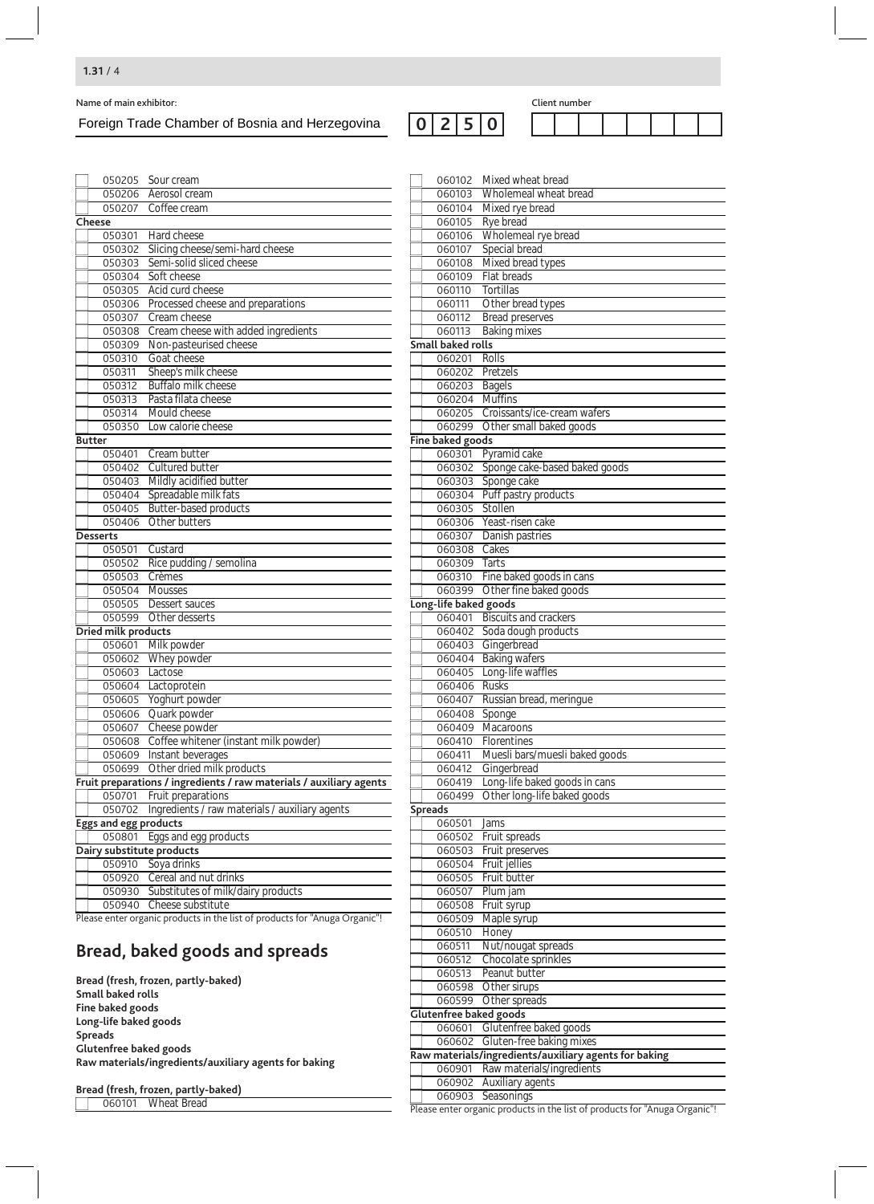### Foreign Trade Chamber of Bosnia and Herzegovina

**2 5 0**

| 050205 Sour cream                                                           | 060102 Mixed wheat bread                                   |
|-----------------------------------------------------------------------------|------------------------------------------------------------|
| 050206 Aerosol cream                                                        | 060103 Wholemeal wheat bread                               |
| 050207 Coffee cream                                                         | 060104 Mixed rye bread                                     |
| Cheese                                                                      | 060105 Rye bread                                           |
| 050301 Hard cheese                                                          | 060106 Wholemeal rye bread                                 |
| 050302 Slicing cheese/semi-hard cheese                                      | 060107 Special bread                                       |
| 050303 Semi-solid sliced cheese                                             | 060108 Mixed bread types                                   |
| 050304 Soft cheese                                                          | 060109 Flat breads                                         |
| 050305 Acid curd cheese                                                     | 060110 Tortillas                                           |
| 050306 Processed cheese and preparations                                    | 060111 Other bread types                                   |
| 050307 Cream cheese                                                         | 060112 Bread preserves                                     |
| 050308 Cream cheese with added ingredients                                  | 060113 Baking mixes                                        |
| 050309 Non-pasteurised cheese                                               | <b>Small baked rolls</b>                                   |
| 050310 Goat cheese                                                          | 060201<br>Rolls                                            |
| Sheep's milk cheese<br>050311                                               | 060202 Pretzels                                            |
| 050312 Buffalo milk cheese                                                  | 060203 Bagels                                              |
| 050313 Pasta filata cheese                                                  | 060204 Muffins                                             |
| 050314 Mould cheese                                                         | 060205 Croissants/ice-cream wafers                         |
| 050350 Low calorie cheese                                                   | 060299 Other small baked goods                             |
| <b>Butter</b>                                                               | Fine baked goods                                           |
| 050401 Cream butter                                                         | 060301 Pyramid cake                                        |
| 050402 Cultured butter<br>050403 Mildly acidified butter                    | 060302 Sponge cake-based baked goods<br>060303 Sponge cake |
| 050404 Spreadable milk fats                                                 | 060304 Puff pastry products                                |
| 050405 Butter-based products                                                | 060305 Stollen                                             |
| 050406 Other butters                                                        | 060306 Yeast-risen cake                                    |
| <b>Desserts</b>                                                             | 060307 Danish pastries                                     |
| 050501 Custard                                                              | 060308 Cakes                                               |
| 050502 Rice pudding / semolina                                              | 060309 Tarts                                               |
| 050503 Crèmes                                                               | 060310 Fine baked goods in cans                            |
| 050504 Mousses                                                              | 060399 Other fine baked goods                              |
| 050505 Dessert sauces                                                       | Long-life baked goods                                      |
| 050599 Other desserts                                                       | 060401 Biscuits and crackers                               |
| Dried milk products                                                         | 060402 Soda dough products                                 |
| 050601 Milk powder                                                          | 060403 Gingerbread                                         |
| 050602 Whey powder                                                          | 060404 Baking wafers                                       |
| 050603 Lactose                                                              | 060405 Long-life waffles                                   |
| 050604 Lactoprotein                                                         | 060406 Rusks                                               |
| 050605 Yoghurt powder                                                       | 060407 Russian bread, meringue                             |
| 050606 Quark powder                                                         | 060408 Sponge                                              |
| 050607 Cheese powder                                                        | 060409 Macaroons                                           |
| 050608 Coffee whitener (instant milk powder)                                | 060410 Florentines                                         |
| 050609 Instant beverages                                                    | 060411 Muesli bars/muesli baked goods                      |
| 050699 Other dried milk products                                            | 060412 Gingerbread                                         |
| Fruit preparations / ingredients / raw materials / auxiliary agents         | 060419 Long-life baked goods in cans                       |
| 050701 Fruit preparations<br>Ingredients / raw materials / auxiliary agents | 060499 Other long-life baked goods                         |
| 050702<br><b>Eggs and egg products</b>                                      | <b>Spreads</b><br>060501<br>Jams                           |
| 050801 Eggs and egg products                                                | 060502 Fruit spreads                                       |
| Dairy substitute products                                                   | 060503 Fruit preserves                                     |
| 050910 Soya drinks                                                          | 060504 Fruit jellies                                       |
| 050920 Cereal and nut drinks                                                | 060505 Fruit butter                                        |
| 050930 Substitutes of milk/dairy products                                   | 060507 Plum jam                                            |
| 050940 Cheese substitute                                                    | 060508 Fruit syrup                                         |
| Please enter organic products in the list of products for "Anuga Organic"!  | 060509 Maple syrup                                         |
|                                                                             | 060510 Honey                                               |
| Bread, baked goods and spreads                                              | Nut/nougat spreads<br>060511                               |
|                                                                             | 060512<br>Chocolate sprinkles                              |
|                                                                             | Peanut butter<br>060513                                    |
| Bread (fresh, frozen, partly-baked)<br>Small baked rolls                    | 060598 Other sirups                                        |
| Fine baked goods                                                            | 060599 Other spreads                                       |
| Long-life baked goods                                                       | Glutenfree baked goods                                     |
| <b>Spreads</b>                                                              | 060601 Glutenfree baked goods                              |
| Glutenfree baked goods                                                      | 060602 Gluten-free baking mixes                            |
| Raw materials/ingredients/auxiliary agents for baking                       | Raw materials/ingredients/auxiliary agents for baking      |
|                                                                             | 060901 Raw materials/ingredients                           |
| <b>Reaad (froch frozon partly bakad)</b>                                    | 060902 Auxiliary agents                                    |

**Bread (fresh, frozen, partly-baked)**

Wheat Bread

Please enter organic products in the list of products for "Anuga Organic"!

Seasonings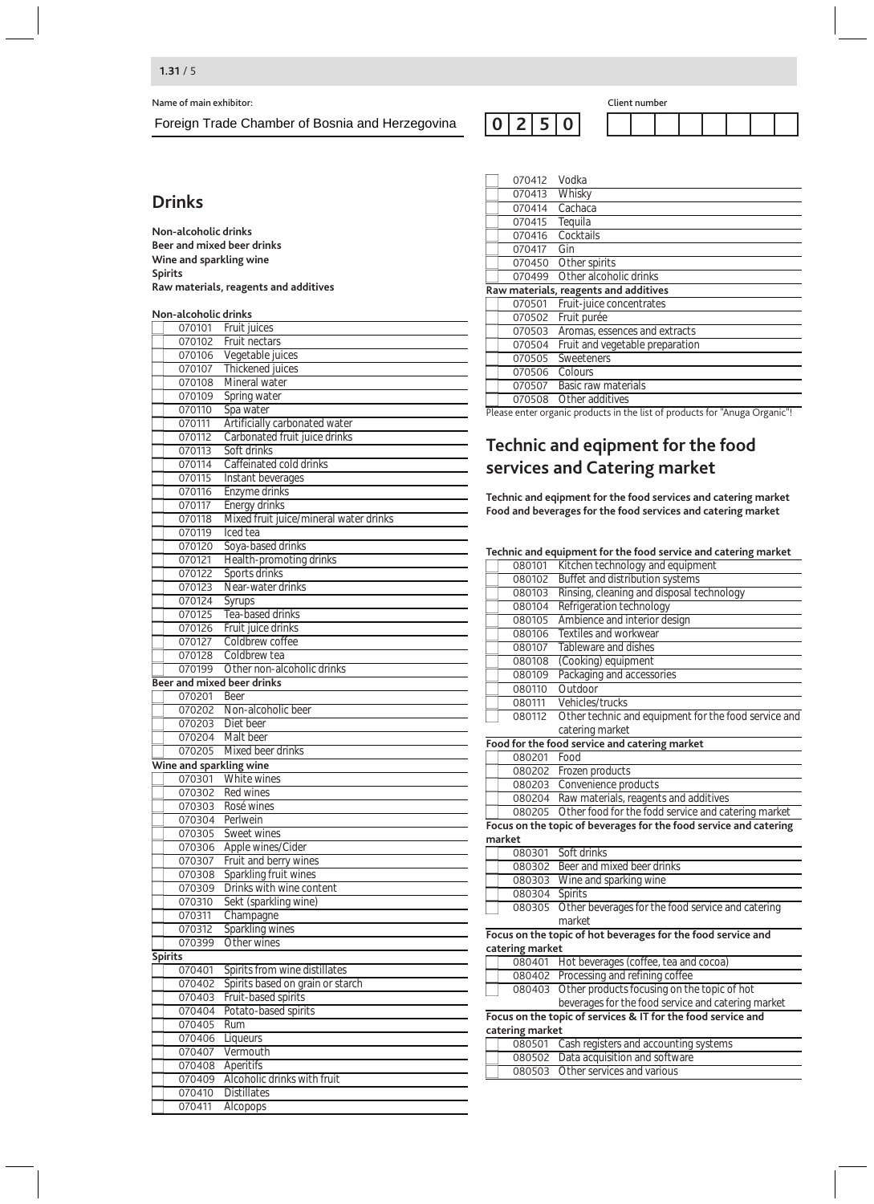Foreign Trade Chamber of Bosnia and Herzegovina

### **Drinks**

**Non-alcoholic drinks Beer and mixed beer drinks Wine and sparkling wine Spirits Raw materials, reagents and additives**

#### **Non-alcoholic drinks**

| 070101                            | Fruit juices                           |
|-----------------------------------|----------------------------------------|
| 070102                            | Fruit nectars                          |
| 070106                            | Vegetable juices                       |
| 070107                            | Thickened juices                       |
| 070108                            | Mineral water                          |
| 070109                            | Spring water                           |
| 070110                            | Spa water                              |
| 070111                            | Artificially carbonated water          |
| 070112                            | Carbonated fruit juice drinks          |
|                                   |                                        |
| 070113                            | Soft drinks                            |
| 070114                            | Caffeinated cold drinks                |
| 070115                            | Instant beverages                      |
| 070116                            | Enzyme drinks                          |
| 070117                            | <b>Energy drinks</b>                   |
| 070118                            | Mixed fruit juice/mineral water drinks |
| 070119                            | Iced tea                               |
| 070120                            | Soya-based drinks                      |
| 070121                            | Health-promoting drinks                |
| 070122                            | Sports drinks                          |
| 070123                            | Near-water drinks                      |
| 070124                            | Syrups                                 |
| 070125                            | Tea-based drinks                       |
| 070126                            | Fruit juice drinks                     |
| 070127                            | Coldbrew coffee                        |
| 070128                            | Coldbrew tea                           |
| 070199                            | Other non-alcoholic drinks             |
| <b>Beer and mixed beer drinks</b> |                                        |
| 070201                            | <b>Beer</b>                            |
| 070202                            | Non-alcoholic beer                     |
| 070203                            | Diet beer                              |
| 070204                            | Malt beer                              |
| 070205                            | Mixed beer drinks                      |
| Wine and sparkling wine           |                                        |
| 070301                            | White wines                            |
| 070302                            | Red wines                              |
| 070303                            | Rosé wines                             |
|                                   | 070304 Perlwein                        |
| 070305                            | Sweet wines                            |
| 070306                            | Apple wines/Cider                      |
| 070307                            | Fruit and berry wines                  |
| 070308                            | Sparkling fruit wines                  |
| 070309                            | Drinks with wine content               |
| 070310                            | Sekt (sparkling wine)                  |
| 070311                            | Champagne                              |
| 070312                            | Sparkling wines                        |
| 070399                            | Other wines                            |
| Spirits                           |                                        |
| 070401                            | Spirits from wine distillates          |
| 070402                            | Spirits based on grain or starch       |
| 070403                            | Fruit-based spirits                    |
| 070404                            | Potato-based spirits                   |
| 070405                            | Rum                                    |
| 070406                            | Liqueurs                               |
| 070407                            | Vermouth                               |
| 070408                            | Aperitifs                              |
| 070409                            | Alcoholic drinks with fruit            |
| 070410                            | <b>Distillates</b>                     |
| 070411                            | Alcopops                               |

**2 5 0**

| 070412                                | Vodka                           |  |
|---------------------------------------|---------------------------------|--|
| 070413                                | Whisky                          |  |
| 070414                                | Cachaca                         |  |
| 070415                                | Tequila                         |  |
| 070416                                | Cocktails                       |  |
| 070417                                | Gin                             |  |
| 070450                                | Other spirits                   |  |
| 070499                                | Other alcoholic drinks          |  |
| Raw materials, reagents and additives |                                 |  |
| 070501                                | Fruit-juice concentrates        |  |
| 070502                                | Fruit purée                     |  |
| 070503                                | Aromas, essences and extracts   |  |
| 070504                                | Fruit and vegetable preparation |  |
| 070505                                | Sweeteners                      |  |
| 070506                                | Colours                         |  |
| 070507                                | Basic raw materials             |  |
|                                       | 070508 Other additives          |  |
|                                       |                                 |  |

Please enter organic products in the list of products for "Anuga Organic"!

# **Technic and eqipment for the food services and Catering market**

**Technic and eqipment for the food services and catering market Food and beverages for the food services and catering market**

|                 | Technic and equipment for the food service and catering market    |
|-----------------|-------------------------------------------------------------------|
| 080101          | Kitchen technology and equipment                                  |
| 080102          | Buffet and distribution systems                                   |
| 080103          | Rinsing, cleaning and disposal technology                         |
| 080104          | Refrigeration technology                                          |
| 080105          | Ambience and interior design                                      |
| 080106          | Textiles and workwear                                             |
| 080107          | Tableware and dishes                                              |
| 080108          | (Cooking) equipment                                               |
| 080109          | Packaging and accessories                                         |
| 080110          | Outdoor                                                           |
| 080111          | Vehicles/trucks                                                   |
| 080112          | Other technic and equipment for the food service and              |
|                 | catering market                                                   |
|                 | Food for the food service and catering market                     |
| 080201          | Food                                                              |
| 080202          | Frozen products                                                   |
| 080203          | Convenience products                                              |
| 080204          | Raw materials, reagents and additives                             |
| 080205          | Other food for the fodd service and catering market               |
|                 | Focus on the topic of beverages for the food service and catering |
| market          |                                                                   |
|                 | 080301 Soft drinks                                                |
| 080302          | Beer and mixed beer drinks                                        |
| 080303          | Wine and sparking wine                                            |
| 080304 Spirits  |                                                                   |
| 080305          | Other beverages for the food service and catering<br>market       |
|                 | Focus on the topic of hot beverages for the food service and      |
| catering market |                                                                   |
|                 | 080401 Hot beverages (coffee, tea and cocoa)                      |
|                 | 080402 Processing and refining coffee                             |
|                 | 080403 Other products focusing on the topic of hot                |
|                 | beverages for the food service and catering market                |
|                 | Focus on the topic of services & IT for the food service and      |
| catering market |                                                                   |
| 080501          | Cash registers and accounting systems                             |
| 080502          | Data acquisition and software                                     |
| 080503          | Other services and various                                        |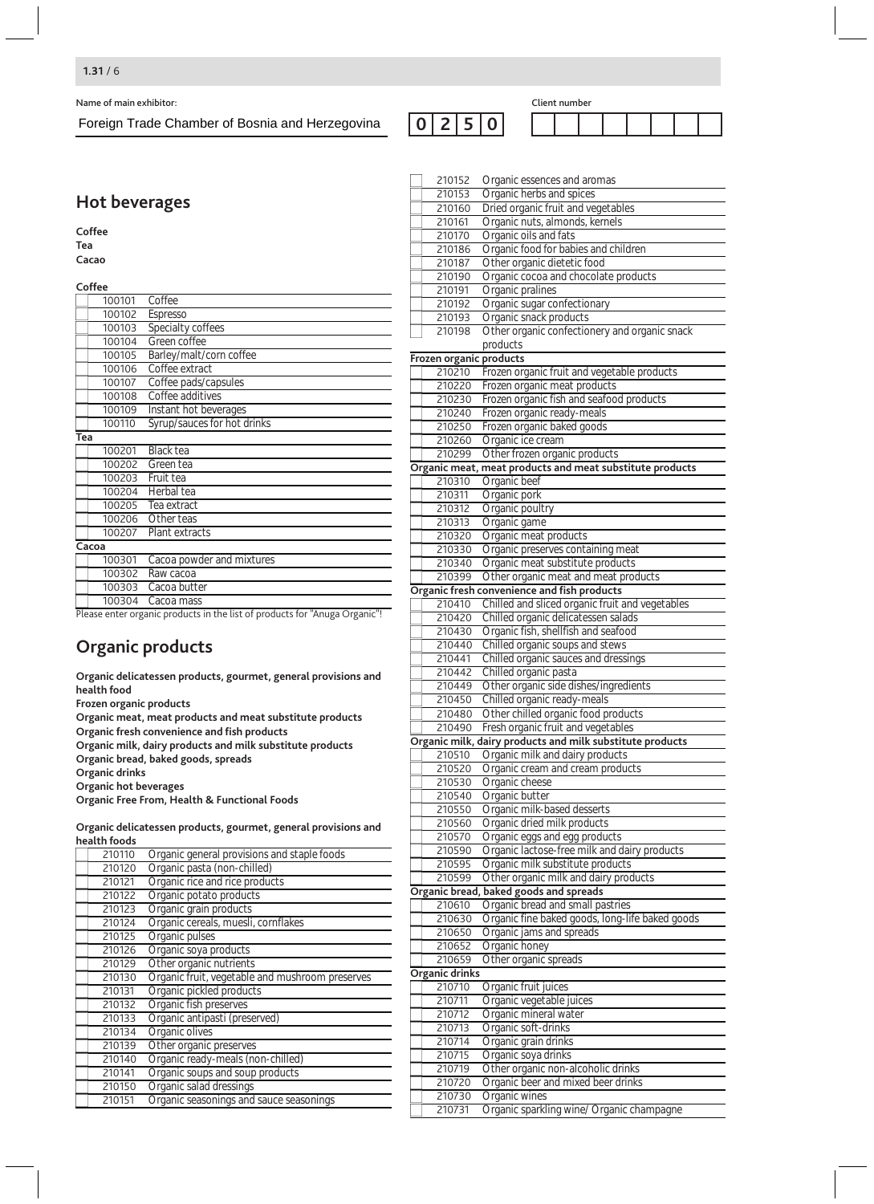#### **1.31** / 6

Name of main exhibitor: Client number

Foreign Trade Chamber of Bosnia and Herzegovina

**2 5 0**

# **Hot beverages**

#### **Coffee Tea**

**Cacao**

|                          | Coffee |                                                                   |
|--------------------------|--------|-------------------------------------------------------------------|
|                          | 100101 | Coffee                                                            |
|                          | 100102 | Espresso                                                          |
|                          | 100103 | Specialty coffees                                                 |
|                          | 100104 | Green coffee                                                      |
|                          | 100105 | Barley/malt/corn coffee                                           |
|                          | 100106 | Coffee extract                                                    |
|                          | 100107 | Coffee pads/capsules                                              |
|                          | 100108 | Coffee additives                                                  |
|                          | 100109 | Instant hot beverages                                             |
|                          | 100110 | Syrup/sauces for hot drinks                                       |
| Tea                      |        |                                                                   |
|                          | 100201 | Black tea                                                         |
|                          | 100202 | Green tea                                                         |
|                          | 100203 | Fruit tea                                                         |
|                          | 100204 | Herbal tea                                                        |
|                          | 100205 | Tea extract                                                       |
|                          | 100206 | Other teas                                                        |
|                          | 100207 | Plant extracts                                                    |
|                          | Cacoa  |                                                                   |
|                          | 100301 | Cacoa powder and mixtures                                         |
|                          | 100302 | Raw cacoa                                                         |
|                          | 100303 | Cacoa butter                                                      |
|                          | 100304 | Cacoa mass                                                        |
| $\overline{\phantom{0}}$ |        | ᇤ<br>.<br>$\overline{\phantom{a}}$<br>$\mathbf{r}$ .<br>7<br>- 11 |

Please enter organic products in the list of products for "Anuga Organic"!

# **Organic products**

**Organic delicatessen products, gourmet, general provisions and health food Frozen organic products**

**Organic meat, meat products and meat substitute products Organic fresh convenience and fish products**

**Organic milk, dairy products and milk substitute products**

- **Organic bread, baked goods, spreads**
- **Organic drinks**

**Organic hot beverages**

**Organic Free From, Health & Functional Foods**

**Organic delicatessen products, gourmet, general provisions and health foods**

| 210110 | Organic general provisions and staple foods     |  |  |
|--------|-------------------------------------------------|--|--|
| 210120 | Organic pasta (non-chilled)                     |  |  |
| 210121 | Organic rice and rice products                  |  |  |
| 210122 | Organic potato products                         |  |  |
| 210123 | Organic grain products                          |  |  |
| 210124 | Organic cereals, muesli, cornflakes             |  |  |
| 210125 | Organic pulses                                  |  |  |
| 210126 | Organic soya products                           |  |  |
| 210129 | Other organic nutrients                         |  |  |
| 210130 | Organic fruit, vegetable and mushroom preserves |  |  |
| 210131 | Organic pickled products                        |  |  |
| 210132 | Organic fish preserves                          |  |  |
| 210133 | Organic antipasti (preserved)                   |  |  |
| 210134 | Organic olives                                  |  |  |
| 210139 | Other organic preserves                         |  |  |
| 210140 | Organic ready-meals (non-chilled)               |  |  |
| 210141 | Organic soups and soup products                 |  |  |
| 210150 | Organic salad dressings                         |  |  |
| 210151 | Organic seasonings and sauce seasonings         |  |  |

| 210152                  | Organic essences and aromas                                                   |
|-------------------------|-------------------------------------------------------------------------------|
| 210153                  | Organic herbs and spices                                                      |
| 210160                  | Dried organic fruit and vegetables                                            |
| 210161                  | Organic nuts, almonds, kernels                                                |
| 210170                  | Organic oils and fats                                                         |
| 210186                  | Organic food for babies and children                                          |
| 210187                  | Other organic dietetic food                                                   |
| 210190                  | Organic cocoa and chocolate products                                          |
| 210191                  | Organic pralines                                                              |
| 210192                  | Organic sugar confectionary                                                   |
| 210193                  | Organic snack products                                                        |
| 210198                  | Other organic confectionery and organic snack                                 |
|                         | products                                                                      |
| Frozen organic products |                                                                               |
| 210210                  | Frozen organic fruit and vegetable products                                   |
| 210220                  | Frozen organic meat products                                                  |
| 210230                  | Frozen organic fish and seafood products                                      |
| 210240                  | Frozen organic ready-meals                                                    |
| 210250                  | Frozen organic baked goods                                                    |
| 210260                  | Organic ice cream                                                             |
| 210299                  | Other frozen organic products                                                 |
|                         | Organic meat, meat products and meat substitute products                      |
| 210310                  | Organic beef                                                                  |
| 210311                  | Organic pork                                                                  |
| 210312                  | Organic poultry                                                               |
| 210313                  | Organic game                                                                  |
| 210320                  | Organic meat products                                                         |
| 210330                  | Organic preserves containing meat                                             |
| 210340<br>210399        | Organic meat substitute products<br>Other organic meat and meat products      |
|                         | Organic fresh convenience and fish products                                   |
| 210410                  | Chilled and sliced organic fruit and vegetables                               |
| 210420                  | Chilled organic delicatessen salads                                           |
| 210430                  | Organic fish, shellfish and seafood                                           |
| 210440                  | Chilled organic soups and stews                                               |
| 210441                  | Chilled organic sauces and dressings                                          |
| 210442                  | Chilled organic pasta                                                         |
| 210449                  | Other organic side dishes/ingredients                                         |
| 210450                  | Chilled organic ready-meals                                                   |
| 210480                  | Other chilled organic food products                                           |
| 210490                  | Fresh organic fruit and vegetables                                            |
|                         | Organic milk, dairy products and milk substitute products                     |
| 210510                  | Organic milk and dairy products                                               |
| 210520                  | Organic cream and cream products                                              |
| 210530                  | Organic cheese                                                                |
| 210540                  | Organic butter                                                                |
| 210550                  | Organic milk-based desserts                                                   |
| 210560                  | Organic dried milk products                                                   |
| 210570                  | Organic eggs and egg products<br>Organic lactose-free milk and dairy products |
| 210590<br>210595        | Organic milk substitute products                                              |
| 210599                  | Other organic milk and dairy products                                         |
|                         | Organic bread, baked goods and spreads                                        |
| 210610                  | Organic bread and small pastries                                              |
| 210630                  | Organic fine baked goods, long-life baked goods                               |
| 210650                  | Organic jams and spreads                                                      |
| 210652                  | Organic honey                                                                 |
| 210659                  | Other organic spreads                                                         |
| <b>Organic drinks</b>   |                                                                               |
| 210710                  | Organic fruit juices                                                          |
| 210711                  | Organic vegetable juices                                                      |
| 210712                  | Organic mineral water                                                         |
| 210713                  | Organic soft-drinks                                                           |
| 210714                  | Organic grain drinks                                                          |
| 210715                  | Organic soya drinks                                                           |
| 210719                  | Other organic non-alcoholic drinks                                            |
| 210720                  | Organic beer and mixed beer drinks                                            |
| 210730                  | Organic wines                                                                 |
| 210731                  | Organic sparkling wine/ Organic champagne                                     |